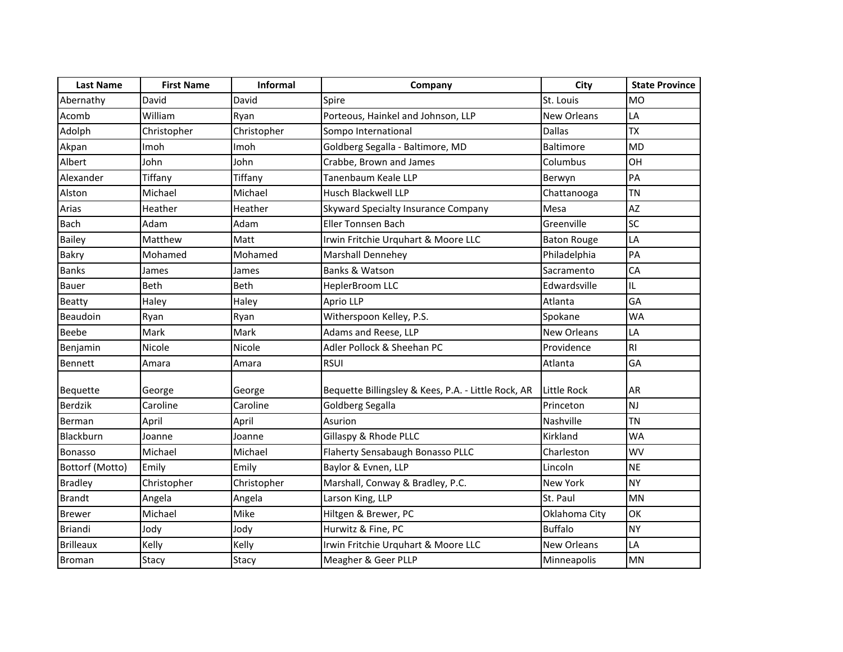| <b>Last Name</b> | <b>First Name</b> | Informal    | Company                                             | City               | <b>State Province</b> |
|------------------|-------------------|-------------|-----------------------------------------------------|--------------------|-----------------------|
| Abernathy        | David             | David       | Spire                                               | St. Louis          | <b>MO</b>             |
| Acomb            | William           | Ryan        | Porteous, Hainkel and Johnson, LLP                  | New Orleans        | LA                    |
| Adolph           | Christopher       | Christopher | Sompo International                                 | <b>Dallas</b>      | <b>TX</b>             |
| Akpan            | Imoh              | Imoh        | Goldberg Segalla - Baltimore, MD                    | <b>Baltimore</b>   | <b>MD</b>             |
| Albert           | John              | John        | Crabbe, Brown and James                             | Columbus           | OH                    |
| Alexander        | Tiffany           | Tiffany     | Tanenbaum Keale LLP                                 | Berwyn             | PA                    |
| Alston           | Michael           | Michael     | <b>Husch Blackwell LLP</b>                          | Chattanooga        | <b>TN</b>             |
| Arias            | Heather           | Heather     | Skyward Specialty Insurance Company                 | Mesa               | AZ                    |
| <b>Bach</b>      | Adam              | Adam        | <b>Eller Tonnsen Bach</b>                           | Greenville         | SC                    |
| <b>Bailey</b>    | Matthew           | Matt        | Irwin Fritchie Urguhart & Moore LLC                 | <b>Baton Rouge</b> | LA                    |
| Bakry            | Mohamed           | Mohamed     | Marshall Dennehey                                   | Philadelphia       | PA                    |
| <b>Banks</b>     | James             | James       | Banks & Watson                                      | Sacramento         | CA                    |
| Bauer            | Beth              | Beth        | HeplerBroom LLC                                     | Edwardsville       | IL                    |
| Beatty           | Haley             | Haley       | Aprio LLP                                           | Atlanta            | GA                    |
| Beaudoin         | Ryan              | Ryan        | Witherspoon Kelley, P.S.                            | Spokane            | <b>WA</b>             |
| <b>Beebe</b>     | Mark              | Mark        | Adams and Reese, LLP                                | <b>New Orleans</b> | LA                    |
| Benjamin         | Nicole            | Nicole      | Adler Pollock & Sheehan PC                          | Providence         | <b>RI</b>             |
| <b>Bennett</b>   | Amara             | Amara       | <b>RSUI</b>                                         | Atlanta            | GA                    |
| Bequette         | George            | George      | Bequette Billingsley & Kees, P.A. - Little Rock, AR | Little Rock        | <b>AR</b>             |
| <b>Berdzik</b>   | Caroline          | Caroline    | Goldberg Segalla                                    | Princeton          | <b>NJ</b>             |
| Berman           | April             | April       | Asurion                                             | Nashville          | <b>TN</b>             |
| Blackburn        | Joanne            | Joanne      | Gillaspy & Rhode PLLC                               | Kirkland           | <b>WA</b>             |
| <b>Bonasso</b>   | Michael           | Michael     | Flaherty Sensabaugh Bonasso PLLC                    | Charleston         | WV                    |
| Bottorf (Motto)  | Emily             | Emily       | Baylor & Evnen, LLP                                 | Lincoln            | <b>NE</b>             |
| <b>Bradley</b>   | Christopher       | Christopher | Marshall, Conway & Bradley, P.C.                    | New York           | <b>NY</b>             |
| <b>Brandt</b>    | Angela            | Angela      | Larson King, LLP                                    | St. Paul           | <b>MN</b>             |
| <b>Brewer</b>    | Michael           | Mike        | Hiltgen & Brewer, PC                                | Oklahoma City      | OK                    |
| Briandi          | Jody              | Jody        | Hurwitz & Fine, PC                                  | <b>Buffalo</b>     | <b>NY</b>             |
| <b>Brilleaux</b> | Kelly             | Kelly       | Irwin Fritchie Urquhart & Moore LLC                 | <b>New Orleans</b> | LA                    |
| Broman           | Stacy             | Stacy       | Meagher & Geer PLLP                                 | Minneapolis        | <b>MN</b>             |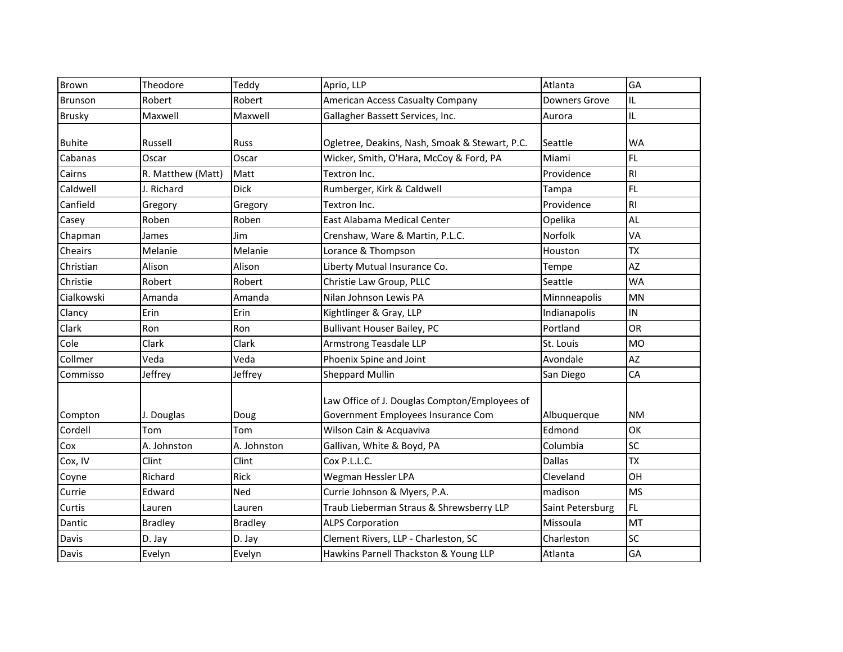| Brown         | Theodore          | Teddy          | Aprio, LLP                                                                          | Atlanta          | GA             |
|---------------|-------------------|----------------|-------------------------------------------------------------------------------------|------------------|----------------|
| Brunson       | Robert            | Robert         | American Access Casualty Company                                                    | Downers Grove    | IL             |
| <b>Brusky</b> | Maxwell           | Maxwell        | Gallagher Bassett Services, Inc.                                                    | Aurora           | IL.            |
| <b>Buhite</b> | Russell           | Russ           | Ogletree, Deakins, Nash, Smoak & Stewart, P.C.                                      | Seattle          | WA             |
| Cabanas       | Oscar             | Oscar          | Wicker, Smith, O'Hara, McCoy & Ford, PA                                             | Miami            | FL.            |
| Cairns        | R. Matthew (Matt) | Matt           | Textron Inc.                                                                        | Providence       | R <sub>l</sub> |
| Caldwell      | J. Richard        | <b>Dick</b>    | Rumberger, Kirk & Caldwell                                                          | Tampa            | FL.            |
| Canfield      | Gregory           | Gregory        | Textron Inc.                                                                        | Providence       | RI             |
| Casey         | Roben             | Roben          | East Alabama Medical Center                                                         | Opelika          | AL             |
| Chapman       | James             | Jim            | Crenshaw, Ware & Martin, P.L.C.                                                     | Norfolk          | VA             |
| Cheairs       | Melanie           | Melanie        | Lorance & Thompson                                                                  | Houston          | <b>TX</b>      |
| Christian     | Alison            | Alison         | Liberty Mutual Insurance Co.                                                        | Tempe            | <b>AZ</b>      |
| Christie      | Robert            | Robert         | Christie Law Group, PLLC                                                            | Seattle          | <b>WA</b>      |
| Cialkowski    | Amanda            | Amanda         | Nilan Johnson Lewis PA                                                              | Minnneapolis     | MN             |
| Clancy        | Erin              | Erin           | Kightlinger & Gray, LLP                                                             | Indianapolis     | IN             |
| Clark         | Ron               | Ron            | <b>Bullivant Houser Bailey, PC</b>                                                  | Portland         | <b>OR</b>      |
| Cole          | Clark             | Clark          | <b>Armstrong Teasdale LLP</b>                                                       | St. Louis        | <b>MO</b>      |
| Collmer       | Veda              | Veda           | Phoenix Spine and Joint                                                             | Avondale         | AZ             |
| Commisso      | Jeffrey           | Jeffrey        | <b>Sheppard Mullin</b>                                                              | San Diego        | CA             |
| Compton       | J. Douglas        | Doug           | Law Office of J. Douglas Compton/Employees of<br>Government Employees Insurance Com | Albuquerque      | <b>NM</b>      |
| Cordell       | Tom               | Tom            | Wilson Cain & Acquaviva                                                             | Edmond           | OK             |
| Cox           | A. Johnston       | A. Johnston    | Gallivan, White & Boyd, PA                                                          | Columbia         | SC             |
| Cox, IV       | Clint             | Clint          | Cox P.L.L.C.                                                                        | <b>Dallas</b>    | <b>TX</b>      |
| Coyne         | Richard           | Rick           | Wegman Hessler LPA                                                                  | Cleveland        | OH             |
| Currie        | Edward            | Ned            | Currie Johnson & Myers, P.A.                                                        | madison          | <b>MS</b>      |
| Curtis        | Lauren            | Lauren         | Traub Lieberman Straus & Shrewsberry LLP                                            | Saint Petersburg | <b>FL</b>      |
| Dantic        | <b>Bradley</b>    | <b>Bradley</b> | <b>ALPS Corporation</b>                                                             | Missoula         | MT             |
| Davis         | D. Jay            | D. Jay         | Clement Rivers, LLP - Charleston, SC                                                | Charleston       | SC             |
| Davis         | Evelyn            | Evelyn         | Hawkins Parnell Thackston & Young LLP                                               | Atlanta          | GA             |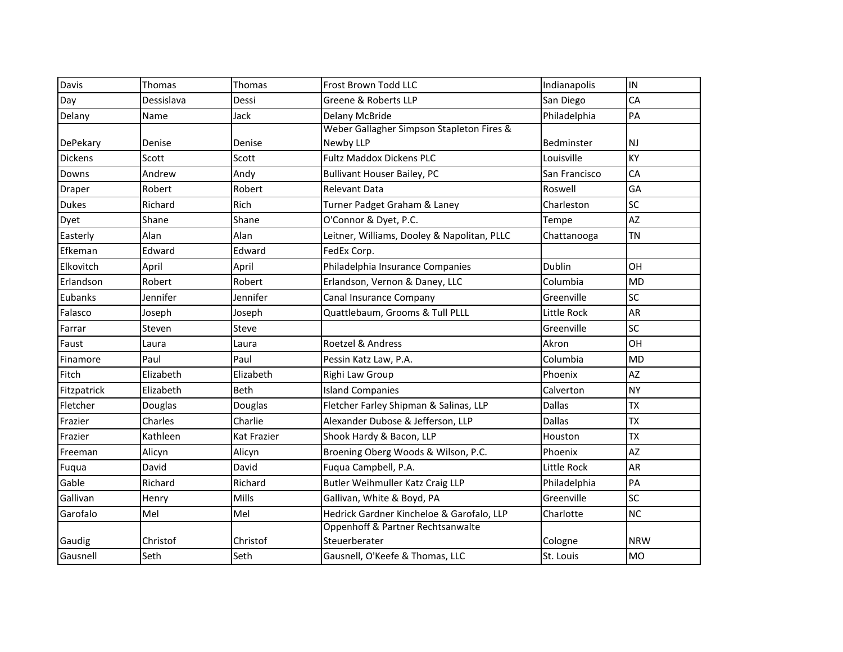| Davis          | Thomas     | Thomas      | Frost Brown Todd LLC                        | Indianapolis  | IN         |
|----------------|------------|-------------|---------------------------------------------|---------------|------------|
| Day            | Dessislava | Dessi       | Greene & Roberts LLP                        | San Diego     | CA         |
| Delany         | Name       | Jack        | Delany McBride                              | Philadelphia  | PA         |
|                |            |             | Weber Gallagher Simpson Stapleton Fires &   |               |            |
| DePekary       | Denise     | Denise      | Newby LLP                                   | Bedminster    | NJ         |
| <b>Dickens</b> | Scott      | Scott       | <b>Fultz Maddox Dickens PLC</b>             | Louisville    | КY         |
| Downs          | Andrew     | Andy        | <b>Bullivant Houser Bailey, PC</b>          | San Francisco | CA         |
| <b>Draper</b>  | Robert     | Robert      | Relevant Data                               | Roswell       | GA         |
| <b>Dukes</b>   | Richard    | Rich        | Turner Padget Graham & Laney                | Charleston    | SC         |
| Dyet           | Shane      | Shane       | O'Connor & Dyet, P.C.                       | Tempe         | AZ         |
| Easterly       | Alan       | Alan        | Leitner, Williams, Dooley & Napolitan, PLLC | Chattanooga   | <b>TN</b>  |
| Efkeman        | Edward     | Edward      | FedEx Corp.                                 |               |            |
| Elkovitch      | April      | April       | Philadelphia Insurance Companies            | <b>Dublin</b> | OH         |
| Erlandson      | Robert     | Robert      | Erlandson, Vernon & Daney, LLC              | Columbia      | <b>MD</b>  |
| Eubanks        | Jennifer   | Jennifer    | Canal Insurance Company                     | Greenville    | SC         |
| Falasco        | Joseph     | Joseph      | Quattlebaum, Grooms & Tull PLLL             | Little Rock   | AR         |
| Farrar         | Steven     | Steve       |                                             | Greenville    | SC         |
| Faust          | Laura      | Laura       | Roetzel & Andress                           | Akron         | OH         |
| Finamore       | Paul       | Paul        | Pessin Katz Law, P.A.                       | Columbia      | <b>MD</b>  |
| Fitch          | Elizabeth  | Elizabeth   | Righi Law Group                             | Phoenix       | AZ         |
| Fitzpatrick    | Elizabeth  | <b>Beth</b> | <b>Island Companies</b>                     | Calverton     | <b>NY</b>  |
| Fletcher       | Douglas    | Douglas     | Fletcher Farley Shipman & Salinas, LLP      | <b>Dallas</b> | <b>TX</b>  |
| Frazier        | Charles    | Charlie     | Alexander Dubose & Jefferson, LLP           | <b>Dallas</b> | <b>TX</b>  |
| Frazier        | Kathleen   | Kat Frazier | Shook Hardy & Bacon, LLP                    | Houston       | <b>TX</b>  |
| Freeman        | Alicyn     | Alicyn      | Broening Oberg Woods & Wilson, P.C.         | Phoenix       | AZ         |
| Fuqua          | David      | David       | Fugua Campbell, P.A.                        | Little Rock   | AR         |
| Gable          | Richard    | Richard     | Butler Weihmuller Katz Craig LLP            | Philadelphia  | PA         |
| Gallivan       | Henry      | Mills       | Gallivan, White & Boyd, PA                  | Greenville    | SC         |
| Garofalo       | Mel        | Mel         | Hedrick Gardner Kincheloe & Garofalo, LLP   | Charlotte     | <b>NC</b>  |
|                |            |             | Oppenhoff & Partner Rechtsanwalte           |               |            |
| Gaudig         | Christof   | Christof    | Steuerberater                               | Cologne       | <b>NRW</b> |
| Gausnell       | Seth       | Seth        | Gausnell, O'Keefe & Thomas, LLC             | St. Louis     | <b>MO</b>  |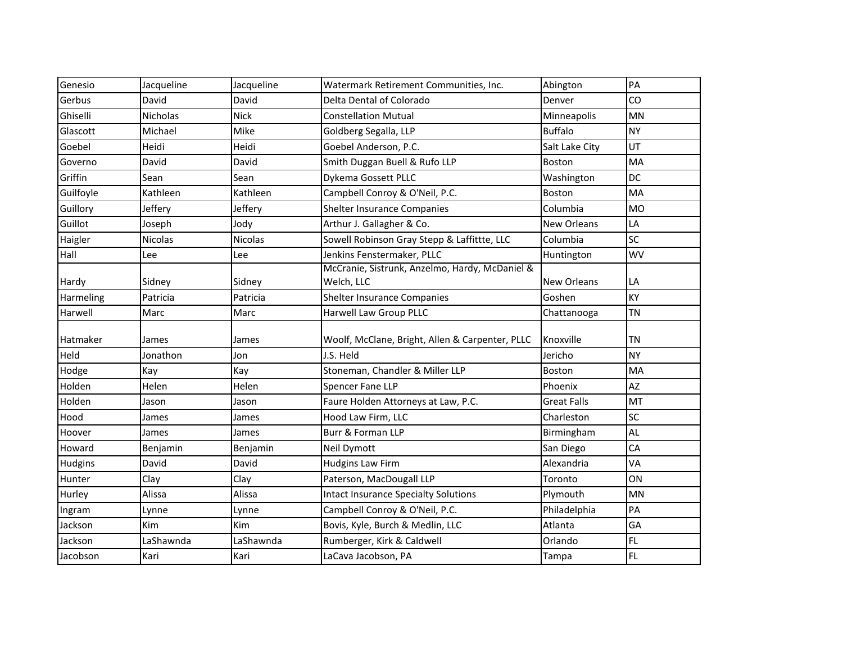| Genesio   | Jacqueline     | Jacqueline | Watermark Retirement Communities, Inc.                       | Abington           | PA        |
|-----------|----------------|------------|--------------------------------------------------------------|--------------------|-----------|
| Gerbus    | David          | David      | Delta Dental of Colorado                                     | Denver             | CO        |
| Ghiselli  | Nicholas       | Nick       | <b>Constellation Mutual</b>                                  | Minneapolis        | MN        |
| Glascott  | Michael        | Mike       | Goldberg Segalla, LLP                                        | <b>Buffalo</b>     | <b>NY</b> |
| Goebel    | Heidi          | Heidi      | Goebel Anderson, P.C.                                        | Salt Lake City     | UT        |
| Governo   | David          | David      | Smith Duggan Buell & Rufo LLP                                | <b>Boston</b>      | MA        |
| Griffin   | Sean           | Sean       | Dykema Gossett PLLC                                          | Washington         | DC        |
| Guilfoyle | Kathleen       | Kathleen   | Campbell Conroy & O'Neil, P.C.                               | Boston             | MA        |
| Guillory  | Jeffery        | Jeffery    | Shelter Insurance Companies                                  | Columbia           | <b>MO</b> |
| Guillot   | Joseph         | Jody       | Arthur J. Gallagher & Co.                                    | <b>New Orleans</b> | LA        |
| Haigler   | <b>Nicolas</b> | Nicolas    | Sowell Robinson Gray Stepp & Laffittte, LLC                  | Columbia           | SC        |
| Hall      | Lee            | Lee        | Jenkins Fenstermaker, PLLC                                   | Huntington         | WV        |
| Hardy     | Sidney         | Sidney     | McCranie, Sistrunk, Anzelmo, Hardy, McDaniel &<br>Welch, LLC | New Orleans        | LA        |
| Harmeling | Patricia       | Patricia   | Shelter Insurance Companies                                  | Goshen             | KY        |
| Harwell   | Marc           | Marc       | Harwell Law Group PLLC                                       | Chattanooga        | <b>TN</b> |
| Hatmaker  | James          | James      | Woolf, McClane, Bright, Allen & Carpenter, PLLC              | Knoxville          | <b>TN</b> |
| Held      | Jonathon       | Jon        | J.S. Held                                                    | Jericho            | <b>NY</b> |
| Hodge     | Kay            | Kay        | Stoneman, Chandler & Miller LLP                              | <b>Boston</b>      | MA        |
| Holden    | Helen          | Helen      | Spencer Fane LLP                                             | Phoenix            | AZ        |
| Holden    | Jason          | Jason      | Faure Holden Attorneys at Law, P.C.                          | <b>Great Falls</b> | MT        |
| Hood      | James          | James      | Hood Law Firm, LLC                                           | Charleston         | SC        |
| Hoover    | James          | James      | Burr & Forman LLP                                            | Birmingham         | AL        |
| Howard    | Benjamin       | Benjamin   | Neil Dymott                                                  | San Diego          | CA        |
| Hudgins   | David          | David      | <b>Hudgins Law Firm</b>                                      | Alexandria         | VA        |
| Hunter    | Clay           | Clay       | Paterson, MacDougall LLP                                     | Toronto            | ON        |
| Hurley    | Alissa         | Alissa     | <b>Intact Insurance Specialty Solutions</b>                  | Plymouth           | MN        |
| Ingram    | Lynne          | Lynne      | Campbell Conroy & O'Neil, P.C.                               | Philadelphia       | PA        |
| Jackson   | Kim            | Kim        | Bovis, Kyle, Burch & Medlin, LLC                             | Atlanta            | GA        |
| Jackson   | LaShawnda      | LaShawnda  | Rumberger, Kirk & Caldwell                                   | Orlando            | FL.       |
| Jacobson  | Kari           | Kari       | LaCava Jacobson, PA                                          | Tampa              | FL        |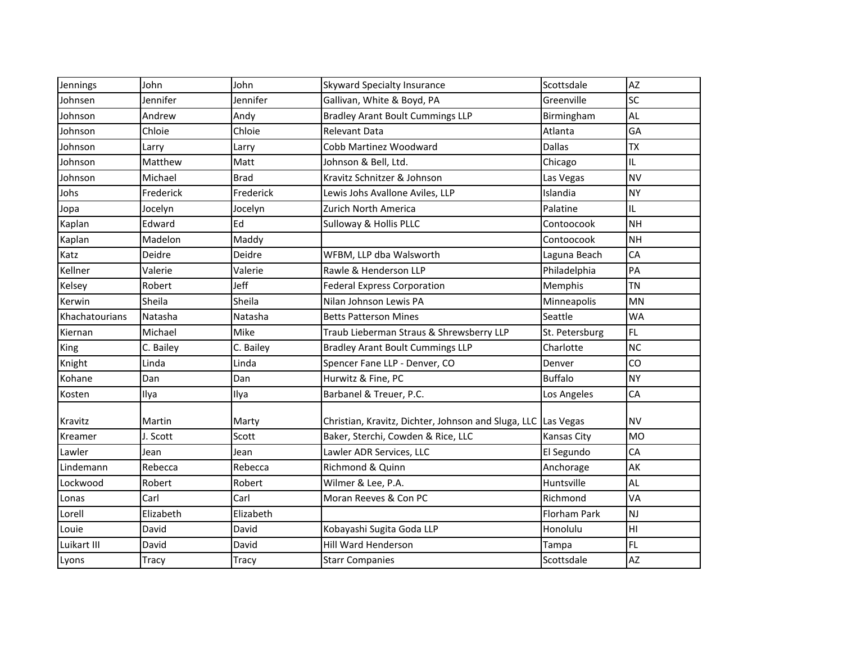| Jennings       | John      | John        | Skyward Specialty Insurance                                   | Scottsdale     | AZ        |
|----------------|-----------|-------------|---------------------------------------------------------------|----------------|-----------|
| Johnsen        | Jennifer  | Jennifer    | Gallivan, White & Boyd, PA                                    | Greenville     | SC        |
| Johnson        | Andrew    | Andy        | <b>Bradley Arant Boult Cummings LLP</b>                       | Birmingham     | AL        |
| Johnson        | Chloie    | Chloie      | <b>Relevant Data</b>                                          | Atlanta        | GA        |
| Johnson        | Larry     | Larry       | Cobb Martinez Woodward                                        | <b>Dallas</b>  | <b>TX</b> |
| Johnson        | Matthew   | Matt        | Johnson & Bell, Ltd.                                          | Chicago        | IL.       |
| Johnson        | Michael   | <b>Brad</b> | Kravitz Schnitzer & Johnson                                   | Las Vegas      | <b>NV</b> |
| Johs           | Frederick | Frederick   | Lewis Johs Avallone Aviles, LLP                               | Islandia       | <b>NY</b> |
| Jopa           | Jocelyn   | Jocelyn     | Zurich North America                                          | Palatine       | IL.       |
| Kaplan         | Edward    | Ed          | Sulloway & Hollis PLLC                                        | Contoocook     | <b>NH</b> |
| Kaplan         | Madelon   | Maddy       |                                                               | Contoocook     | <b>NH</b> |
| Katz           | Deidre    | Deidre      | WFBM, LLP dba Walsworth                                       | Laguna Beach   | CA        |
| Kellner        | Valerie   | Valerie     | Rawle & Henderson LLP                                         | Philadelphia   | PA        |
| Kelsey         | Robert    | Jeff        | <b>Federal Express Corporation</b>                            | Memphis        | <b>TN</b> |
| Kerwin         | Sheila    | Sheila      | Nilan Johnson Lewis PA                                        | Minneapolis    | MN        |
| Khachatourians | Natasha   | Natasha     | <b>Betts Patterson Mines</b>                                  | Seattle        | <b>WA</b> |
| Kiernan        | Michael   | Mike        | Traub Lieberman Straus & Shrewsberry LLP                      | St. Petersburg | FL.       |
| King           | C. Bailey | C. Bailey   | <b>Bradley Arant Boult Cummings LLP</b>                       | Charlotte      | <b>NC</b> |
| Knight         | Linda     | Linda       | Spencer Fane LLP - Denver, CO                                 | Denver         | CO        |
| Kohane         | Dan       | Dan         | Hurwitz & Fine, PC                                            | <b>Buffalo</b> | <b>NY</b> |
| Kosten         | Ilya      | Ilya        | Barbanel & Treuer, P.C.                                       | Los Angeles    | CA        |
| Kravitz        | Martin    | Marty       | Christian, Kravitz, Dichter, Johnson and Sluga, LLC Las Vegas |                | <b>NV</b> |
| Kreamer        | J. Scott  | Scott       | Baker, Sterchi, Cowden & Rice, LLC                            | Kansas City    | <b>MO</b> |
| Lawler         | Jean      | Jean        | Lawler ADR Services, LLC                                      | El Segundo     | CA        |
| Lindemann      | Rebecca   | Rebecca     | Richmond & Quinn                                              | Anchorage      | AK        |
| Lockwood       | Robert    | Robert      | Wilmer & Lee, P.A.                                            | Huntsville     | AL        |
| Lonas          | Carl      | Carl        | Moran Reeves & Con PC                                         | Richmond       | VA        |
| Lorell         | Elizabeth | Elizabeth   |                                                               | Florham Park   | <b>NJ</b> |
| Louie          | David     | David       | Kobayashi Sugita Goda LLP                                     | Honolulu       | HI        |
| Luikart III    | David     | David       | <b>Hill Ward Henderson</b>                                    | Tampa          | FL.       |
| Lyons          | Tracy     | Tracy       | <b>Starr Companies</b>                                        | Scottsdale     | AZ        |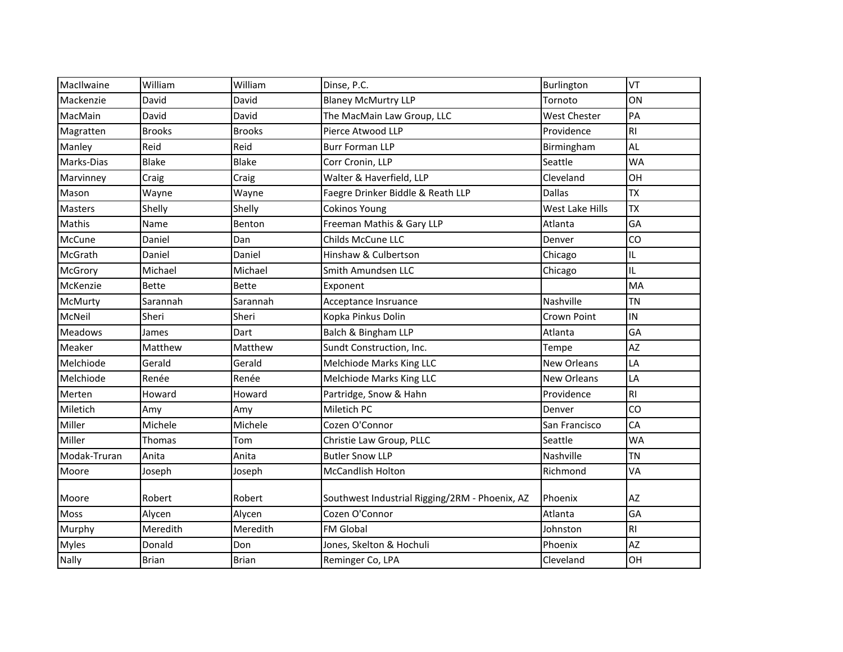| MacIlwaine     | William       | William       | Dinse, P.C.                                    | Burlington         | VT             |
|----------------|---------------|---------------|------------------------------------------------|--------------------|----------------|
| Mackenzie      | David         | David         | <b>Blaney McMurtry LLP</b>                     | Tornoto            | ON             |
| MacMain        | David         | David         | The MacMain Law Group, LLC                     | West Chester       | PA             |
| Magratten      | <b>Brooks</b> | <b>Brooks</b> | Pierce Atwood LLP                              | Providence         | R <sub>l</sub> |
| Manley         | Reid          | Reid          | <b>Burr Forman LLP</b>                         | Birmingham         | AL             |
| Marks-Dias     | <b>Blake</b>  | <b>Blake</b>  | Corr Cronin, LLP                               | Seattle            | <b>WA</b>      |
| Marvinney      | Craig         | Craig         | Walter & Haverfield, LLP                       | Cleveland          | OH             |
| Mason          | Wayne         | Wayne         | Faegre Drinker Biddle & Reath LLP              | <b>Dallas</b>      | <b>TX</b>      |
| <b>Masters</b> | Shelly        | Shelly        | Cokinos Young                                  | West Lake Hills    | <b>TX</b>      |
| Mathis         | Name          | Benton        | Freeman Mathis & Gary LLP                      | Atlanta            | GA             |
| McCune         | Daniel        | Dan           | Childs McCune LLC                              | Denver             | CO             |
| McGrath        | Daniel        | Daniel        | Hinshaw & Culbertson                           | Chicago            | IL             |
| McGrory        | Michael       | Michael       | Smith Amundsen LLC                             | Chicago            | IL.            |
| McKenzie       | <b>Bette</b>  | <b>Bette</b>  | Exponent                                       |                    | MA             |
| McMurty        | Sarannah      | Sarannah      | Acceptance Insruance                           | Nashville          | TN             |
| McNeil         | Sheri         | Sheri         | Kopka Pinkus Dolin                             | Crown Point        | IN             |
| <b>Meadows</b> | James         | Dart          | Balch & Bingham LLP                            | Atlanta            | GA             |
| Meaker         | Matthew       | Matthew       | Sundt Construction, Inc.                       | Tempe              | AZ             |
| Melchiode      | Gerald        | Gerald        | Melchiode Marks King LLC                       | <b>New Orleans</b> | LA             |
| Melchiode      | Renée         | Renée         | Melchiode Marks King LLC                       | <b>New Orleans</b> | LA             |
| Merten         | Howard        | Howard        | Partridge, Snow & Hahn                         | Providence         | RI.            |
| Miletich       | Amy           | Amy           | Miletich PC                                    | Denver             | CO             |
| Miller         | Michele       | Michele       | Cozen O'Connor                                 | San Francisco      | CA             |
| Miller         | Thomas        | Tom           | Christie Law Group, PLLC                       | Seattle            | <b>WA</b>      |
| Modak-Truran   | Anita         | Anita         | <b>Butler Snow LLP</b>                         | Nashville          | <b>TN</b>      |
| Moore          | Joseph        | Joseph        | <b>McCandlish Holton</b>                       | Richmond           | VA             |
| Moore          | Robert        | Robert        | Southwest Industrial Rigging/2RM - Phoenix, AZ | Phoenix            | AZ             |
| Moss           | Alycen        | Alycen        | Cozen O'Connor                                 | Atlanta            | GA             |
| Murphy         | Meredith      | Meredith      | FM Global                                      | Johnston           | <b>RI</b>      |
| <b>Myles</b>   | Donald        | Don           | Jones, Skelton & Hochuli                       | Phoenix            | AZ             |
| Nally          | <b>Brian</b>  | <b>Brian</b>  | Reminger Co, LPA                               | Cleveland          | OH             |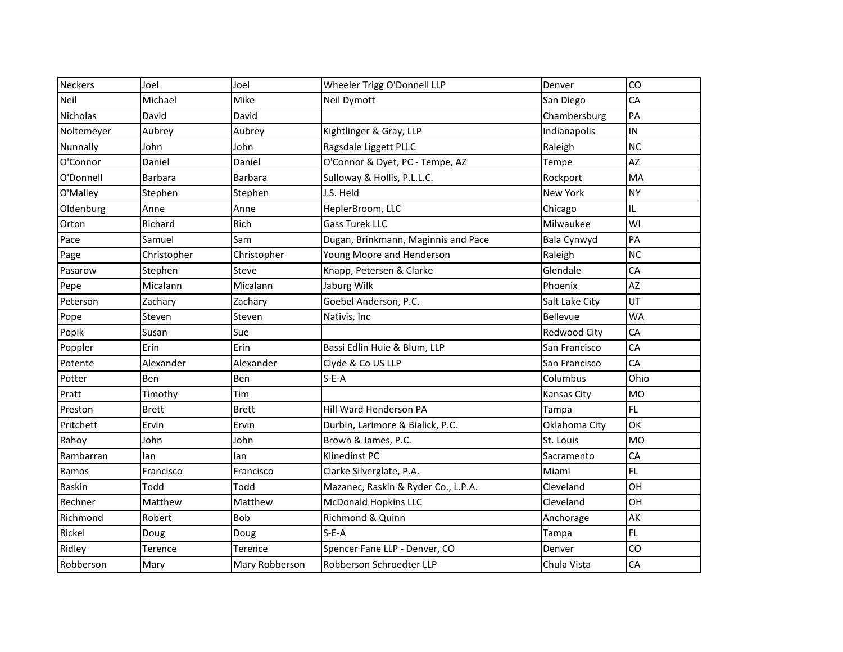| <b>Neckers</b> | Joel         | Joel           | Wheeler Trigg O'Donnell LLP         | Denver         | CO        |
|----------------|--------------|----------------|-------------------------------------|----------------|-----------|
| Neil           | Michael      | Mike           | Neil Dymott                         | San Diego      | CA        |
| Nicholas       | David        | David          |                                     | Chambersburg   | PA        |
| Noltemeyer     | Aubrey       | Aubrey         | Kightlinger & Gray, LLP             | Indianapolis   | IN        |
| Nunnally       | John         | John           | Ragsdale Liggett PLLC               | Raleigh        | <b>NC</b> |
| O'Connor       | Daniel       | Daniel         | O'Connor & Dyet, PC - Tempe, AZ     | Tempe          | AZ        |
| O'Donnell      | Barbara      | Barbara        | Sulloway & Hollis, P.L.L.C.         | Rockport       | MA        |
| O'Malley       | Stephen      | Stephen        | J.S. Held                           | New York       | <b>NY</b> |
| Oldenburg      | Anne         | Anne           | HeplerBroom, LLC                    | Chicago        | IL.       |
| Orton          | Richard      | Rich           | <b>Gass Turek LLC</b>               | Milwaukee      | WI        |
| Pace           | Samuel       | Sam            | Dugan, Brinkmann, Maginnis and Pace | Bala Cynwyd    | PA        |
| Page           | Christopher  | Christopher    | Young Moore and Henderson           | Raleigh        | <b>NC</b> |
| Pasarow        | Stephen      | Steve          | Knapp, Petersen & Clarke            | Glendale       | CA        |
| Pepe           | Micalann     | Micalann       | Jaburg Wilk                         | Phoenix        | AZ        |
| Peterson       | Zachary      | Zachary        | Goebel Anderson, P.C.               | Salt Lake City | UT        |
| Pope           | Steven       | Steven         | Nativis, Inc                        | Bellevue       | <b>WA</b> |
| Popik          | Susan        | Sue            |                                     | Redwood City   | CA        |
| Poppler        | Erin         | Erin           | Bassi Edlin Huie & Blum, LLP        | San Francisco  | CA        |
| Potente        | Alexander    | Alexander      | Clyde & Co US LLP                   | San Francisco  | CA        |
| Potter         | Ben          | Ben            | $S-E-A$                             | Columbus       | Ohio      |
| Pratt          | Timothy      | Tim            |                                     | Kansas City    | <b>MO</b> |
| Preston        | <b>Brett</b> | <b>Brett</b>   | Hill Ward Henderson PA              | Tampa          | <b>FL</b> |
| Pritchett      | Ervin        | Ervin          | Durbin, Larimore & Bialick, P.C.    | Oklahoma City  | OK        |
| Rahoy          | John         | John           | Brown & James, P.C.                 | St. Louis      | <b>MO</b> |
| Rambarran      | lan          | lan            | Klinedinst PC                       | Sacramento     | CA        |
| Ramos          | Francisco    | Francisco      | Clarke Silverglate, P.A.            | Miami          | FL.       |
| Raskin         | Todd         | Todd           | Mazanec, Raskin & Ryder Co., L.P.A. | Cleveland      | OH        |
| Rechner        | Matthew      | Matthew        | <b>McDonald Hopkins LLC</b>         | Cleveland      | OH        |
| Richmond       | Robert       | Bob            | Richmond & Quinn                    | Anchorage      | AK        |
| Rickel         | Doug         | Doug           | $S-E-A$                             | Tampa          | FL.       |
| Ridley         | Terence      | Terence        | Spencer Fane LLP - Denver, CO       | Denver         | CO        |
| Robberson      | Mary         | Mary Robberson | Robberson Schroedter LLP            | Chula Vista    | CA        |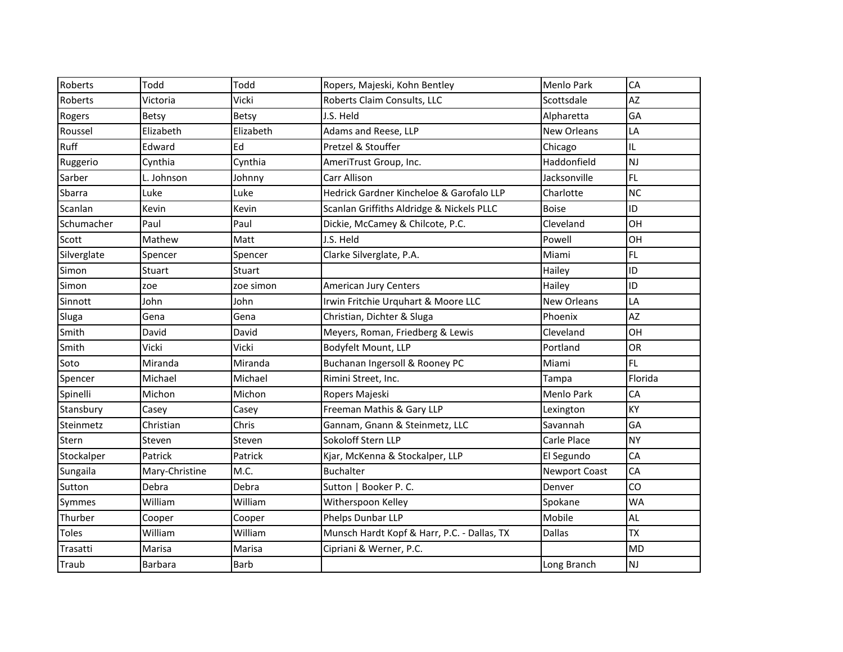| Roberts     | Todd           | Todd        | Ropers, Majeski, Kohn Bentley               | <b>Menlo Park</b>    | CA        |
|-------------|----------------|-------------|---------------------------------------------|----------------------|-----------|
| Roberts     | Victoria       | Vicki       | Roberts Claim Consults, LLC                 | Scottsdale           | AZ        |
| Rogers      | <b>Betsy</b>   | Betsy       | J.S. Held                                   | Alpharetta           | GA        |
| Roussel     | Elizabeth      | Elizabeth   | Adams and Reese, LLP                        | <b>New Orleans</b>   | LA        |
| Ruff        | Edward         | Ed          | Pretzel & Stouffer                          | Chicago              | IL.       |
| Ruggerio    | Cynthia        | Cynthia     | AmeriTrust Group, Inc.                      | Haddonfield          | <b>NJ</b> |
| Sarber      | L. Johnson     | Johnny      | Carr Allison                                | Jacksonville         | <b>FL</b> |
| Sbarra      | Luke           | Luke        | Hedrick Gardner Kincheloe & Garofalo LLP    | Charlotte            | <b>NC</b> |
| Scanlan     | Kevin          | Kevin       | Scanlan Griffiths Aldridge & Nickels PLLC   | <b>Boise</b>         | ID        |
| Schumacher  | Paul           | Paul        | Dickie, McCamey & Chilcote, P.C.            | Cleveland            | OH        |
| Scott       | Mathew         | Matt        | J.S. Held                                   | Powell               | OH        |
| Silverglate | Spencer        | Spencer     | Clarke Silverglate, P.A.                    | Miami                | <b>FL</b> |
| Simon       | Stuart         | Stuart      |                                             | Hailey               | ID        |
| Simon       | zoe            | zoe simon   | American Jury Centers                       | Hailey               | ID        |
| Sinnott     | John           | John        | Irwin Fritchie Urquhart & Moore LLC         | <b>New Orleans</b>   | LA        |
| Sluga       | Gena           | Gena        | Christian, Dichter & Sluga                  | Phoenix              | AZ        |
| Smith       | David          | David       | Meyers, Roman, Friedberg & Lewis            | Cleveland            | OH        |
| Smith       | Vicki          | Vicki       | Bodyfelt Mount, LLP                         | Portland             | <b>OR</b> |
| Soto        | Miranda        | Miranda     | Buchanan Ingersoll & Rooney PC              | Miami                | <b>FL</b> |
| Spencer     | Michael        | Michael     | Rimini Street, Inc.                         | Tampa                | Florida   |
| Spinelli    | Michon         | Michon      | Ropers Majeski                              | <b>Menlo Park</b>    | CA        |
| Stansbury   | Casey          | Casey       | Freeman Mathis & Gary LLP                   | Lexington            | KY        |
| Steinmetz   | Christian      | Chris       | Gannam, Gnann & Steinmetz, LLC              | Savannah             | GA        |
| Stern       | Steven         | Steven      | Sokoloff Stern LLP                          | Carle Place          | <b>NY</b> |
| Stockalper  | Patrick        | Patrick     | Kjar, McKenna & Stockalper, LLP             | El Segundo           | CA        |
| Sungaila    | Mary-Christine | M.C.        | <b>Buchalter</b>                            | <b>Newport Coast</b> | CA        |
| Sutton      | Debra          | Debra       | Sutton   Booker P. C.                       | Denver               | CO        |
| Symmes      | William        | William     | Witherspoon Kelley                          | Spokane              | <b>WA</b> |
| Thurber     | Cooper         | Cooper      | Phelps Dunbar LLP                           | Mobile               | AL        |
| Toles       | William        | William     | Munsch Hardt Kopf & Harr, P.C. - Dallas, TX | <b>Dallas</b>        | <b>TX</b> |
| Trasatti    | Marisa         | Marisa      | Cipriani & Werner, P.C.                     |                      | <b>MD</b> |
| Traub       | <b>Barbara</b> | <b>Barb</b> |                                             | Long Branch          | <b>NJ</b> |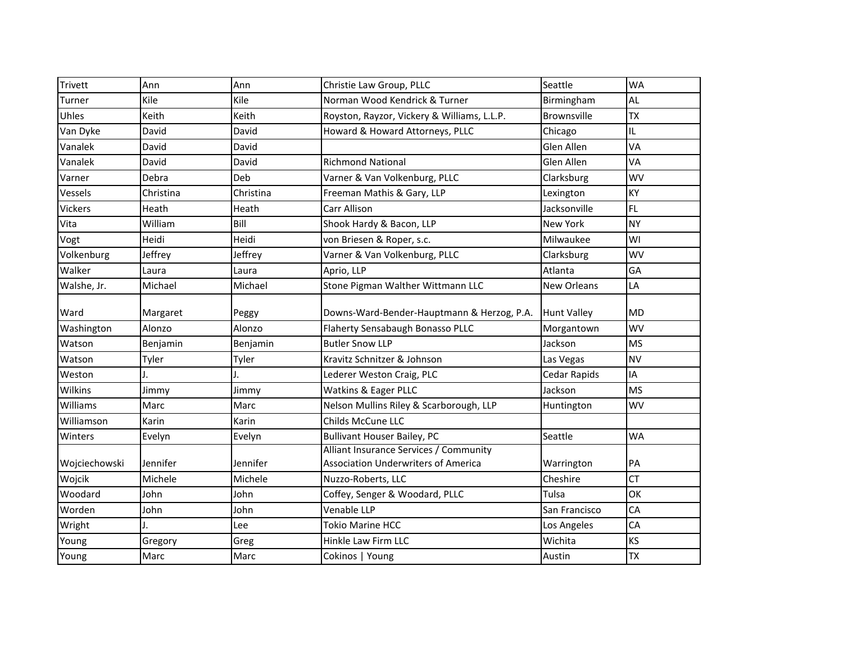| Trivett        | Ann          | Ann       | Christie Law Group, PLLC                                                             | Seattle            | <b>WA</b> |
|----------------|--------------|-----------|--------------------------------------------------------------------------------------|--------------------|-----------|
| Turner         | Kile         | Kile      | Norman Wood Kendrick & Turner                                                        | Birmingham         | <b>AL</b> |
| Uhles          | Keith        | Keith     | Royston, Rayzor, Vickery & Williams, L.L.P.                                          | <b>Brownsville</b> | <b>TX</b> |
| Van Dyke       | David        | David     | Howard & Howard Attorneys, PLLC                                                      | Chicago            | IL.       |
| Vanalek        | David        | David     |                                                                                      | Glen Allen         | VA        |
| Vanalek        | David        | David     | <b>Richmond National</b>                                                             | Glen Allen         | VA        |
| Varner         | Debra        | Deb       | Varner & Van Volkenburg, PLLC                                                        | Clarksburg         | <b>WV</b> |
| Vessels        | Christina    | Christina | Freeman Mathis & Gary, LLP                                                           | Lexington          | KY        |
| <b>Vickers</b> | <b>Heath</b> | Heath     | Carr Allison                                                                         | Jacksonville       | <b>FL</b> |
| Vita           | William      | Bill      | Shook Hardy & Bacon, LLP                                                             | <b>New York</b>    | <b>NY</b> |
| Vogt           | Heidi        | Heidi     | von Briesen & Roper, s.c.                                                            | Milwaukee          | WI        |
| Volkenburg     | Jeffrey      | Jeffrey   | Varner & Van Volkenburg, PLLC                                                        | Clarksburg         | <b>WV</b> |
| Walker         | Laura        | Laura     | Aprio, LLP                                                                           | Atlanta            | GA        |
| Walshe, Jr.    | Michael      | Michael   | Stone Pigman Walther Wittmann LLC                                                    | <b>New Orleans</b> | LA        |
| Ward           | Margaret     | Peggy     | Downs-Ward-Bender-Hauptmann & Herzog, P.A.                                           | <b>Hunt Valley</b> | <b>MD</b> |
| Washington     | Alonzo       | Alonzo    | Flaherty Sensabaugh Bonasso PLLC                                                     | Morgantown         | <b>WV</b> |
| Watson         | Benjamin     | Benjamin  | <b>Butler Snow LLP</b>                                                               | Jackson            | <b>MS</b> |
| Watson         | Tyler        | Tyler     | Kravitz Schnitzer & Johnson                                                          | Las Vegas          | <b>NV</b> |
| Weston         |              |           | Lederer Weston Craig, PLC                                                            | Cedar Rapids       | IA        |
| Wilkins        | Jimmy        | Jimmy     | Watkins & Eager PLLC                                                                 | Jackson            | <b>MS</b> |
| Williams       | Marc         | Marc      | Nelson Mullins Riley & Scarborough, LLP                                              | Huntington         | WV        |
| Williamson     | Karin        | Karin     | Childs McCune LLC                                                                    |                    |           |
| Winters        | Evelyn       | Evelyn    | <b>Bullivant Houser Bailey, PC</b>                                                   | Seattle            | <b>WA</b> |
| Wojciechowski  | Jennifer     | Jennifer  | Alliant Insurance Services / Community<br><b>Association Underwriters of America</b> | Warrington         | PA        |
| Wojcik         | Michele      | Michele   | Nuzzo-Roberts, LLC                                                                   | Cheshire           | <b>CT</b> |
| Woodard        | John         | John      | Coffey, Senger & Woodard, PLLC                                                       | Tulsa              | OK        |
| Worden         | John         | John      | Venable LLP                                                                          | San Francisco      | CA        |
| Wright         |              | Lee       | <b>Tokio Marine HCC</b>                                                              | Los Angeles        | CA        |
| Young          | Gregory      | Greg      | Hinkle Law Firm LLC                                                                  | Wichita            | KS        |
| Young          | Marc         | Marc      | Cokinos   Young                                                                      | Austin             | <b>TX</b> |
|                |              |           |                                                                                      |                    |           |